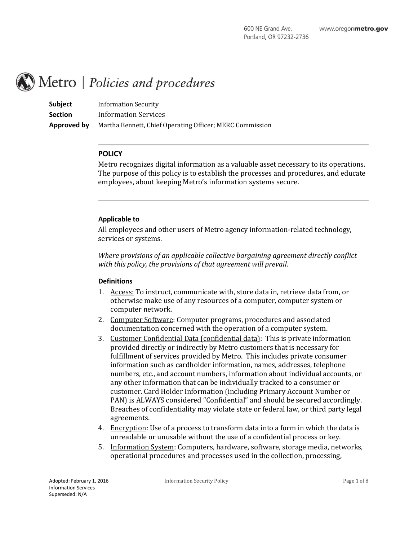# Metro | Policies and procedures

**Subject** Information Security **Section** Information Services **Approved by** Martha Bennett, Chief Operating Officer; MERC Commission

## **POLICY**

Metro recognizes digital information as a valuable asset necessary to its operations. The purpose of this policy is to establish the processes and procedures, and educate employees, about keeping Metro's information systems secure.

#### **Applicable to**

All employees and other users of Metro agency information-related technology, services or systems.

*Where provisions of an applicable collective bargaining agreement directly conflict with this policy, the provisions of that agreement will prevail.* 

#### **Definitions**

- 1. Access: To instruct, communicate with, store data in, retrieve data from, or otherwise make use of any resources of a computer, computer system or computer network.
- 2. Computer Software: Computer programs, procedures and associated documentation concerned with the operation of a computer system.
- 3. Customer Confidential Data (confidential data): This is private information provided directly or indirectly by Metro customers that is necessary for fulfillment of services provided by Metro. This includes private consumer information such as cardholder information, names, addresses, telephone numbers, etc., and account numbers, information about individual accounts, or any other information that can be individually tracked to a consumer or customer. Card Holder Information (including Primary Account Number or PAN) is ALWAYS considered "Confidential" and should be secured accordingly. Breaches of confidentiality may violate state or federal law, or third party legal agreements.
- 4. Encryption: Use of a process to transform data into a form in which the data is unreadable or unusable without the use of a confidential process or key.
- 5. Information System: Computers, hardware, software, storage media, networks, operational procedures and processes used in the collection, processing,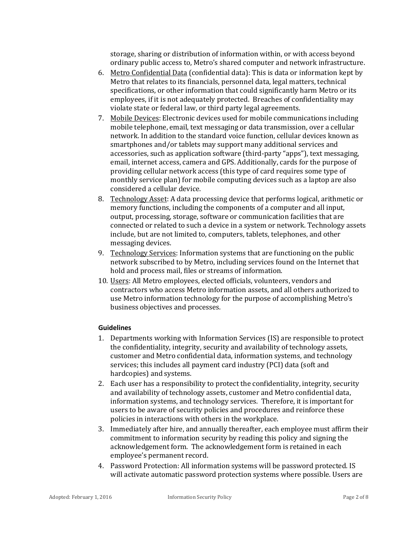storage, sharing or distribution of information within, or with access beyond ordinary public access to, Metro's shared computer and network infrastructure.

- 6. Metro Confidential Data (confidential data): This is data or information kept by Metro that relates to its financials, personnel data, legal matters, technical specifications, or other information that could significantly harm Metro or its employees, if it is not adequately protected. Breaches of confidentiality may violate state or federal law, or third party legal agreements.
- 7. Mobile Devices: Electronic devices used for mobile communications including mobile telephone, email, text messaging or data transmission, over a cellular network. In addition to the standard voice function, cellular devices known as smartphones and/or tablets may support many additional services and accessories, such as application software (third-party "apps"), text messaging, email, internet access, camera and GPS. Additionally, cards for the purpose of providing cellular network access (this type of card requires some type of monthly service plan) for mobile computing devices such as a laptop are also considered a cellular device.
- 8. Technology Asset: A data processing device that performs logical, arithmetic or memory functions, including the components of a computer and all input, output, processing, storage, software or communication facilities that are connected or related to such a device in a system or network. Technology assets include, but are not limited to, computers, tablets, telephones, and other messaging devices.
- 9. Technology Services: Information systems that are functioning on the public network subscribed to by Metro, including services found on the Internet that hold and process mail, files or streams of information.
- 10. Users: All Metro employees, elected officials, volunteers, vendors and contractors who access Metro information assets, and all others authorized to use Metro information technology for the purpose of accomplishing Metro's business objectives and processes.

## **Guidelines**

- 1. Departments working with Information Services (IS) are responsible to protect the confidentiality, integrity, security and availability of technology assets, customer and Metro confidential data, information systems, and technology services; this includes all payment card industry (PCI) data (soft and hardcopies) and systems.
- 2. Each user has a responsibility to protect the confidentiality, integrity, security and availability of technology assets, customer and Metro confidential data, information systems, and technology services. Therefore, it is important for users to be aware of security policies and procedures and reinforce these policies in interactions with others in the workplace.
- 3. Immediately after hire, and annually thereafter, each employee must affirm their commitment to information security by reading this policy and signing the acknowledgement form. The acknowledgement form is retained in each employee's permanent record.
- 4. Password Protection: All information systems will be password protected. IS will activate automatic password protection systems where possible. Users are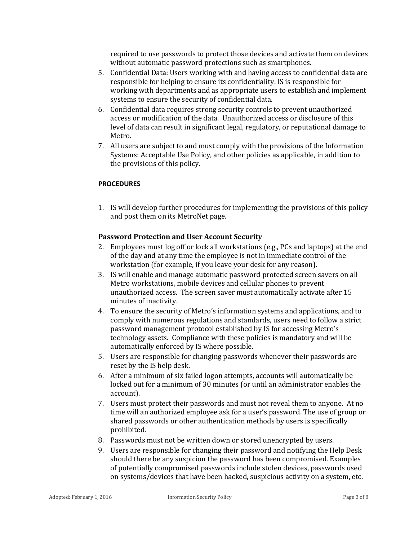required to use passwords to protect those devices and activate them on devices without automatic password protections such as smartphones.

- 5. Confidential Data: Users working with and having access to confidential data are responsible for helping to ensure its confidentiality. IS is responsible for working with departments and as appropriate users to establish and implement systems to ensure the security of confidential data.
- 6. Confidential data requires strong security controls to prevent unauthorized access or modification of the data. Unauthorized access or disclosure of this level of data can result in significant legal, regulatory, or reputational damage to Metro.
- 7. All users are subject to and must comply with the provisions of the Information Systems: Acceptable Use Policy, and other policies as applicable, in addition to the provisions of this policy.

## **PROCEDURES**

1. IS will develop further procedures for implementing the provisions of this policy and post them on its MetroNet page.

# **Password Protection and User Account Security**

- 2. Employees must log off or lock all workstations (e.g., PCs and laptops) at the end of the day and at any time the employee is not in immediate control of the workstation (for example, if you leave your desk for any reason).
- 3. IS will enable and manage automatic password protected screen savers on all Metro workstations, mobile devices and cellular phones to prevent unauthorized access. The screen saver must automatically activate after 15 minutes of inactivity.
- 4. To ensure the security of Metro's information systems and applications, and to comply with numerous regulations and standards, users need to follow a strict password management protocol established by IS for accessing Metro's technology assets. Compliance with these policies is mandatory and will be automatically enforced by IS where possible.
- 5. Users are responsible for changing passwords whenever their passwords are reset by the IS help desk.
- 6. After a minimum of six failed logon attempts, accounts will automatically be locked out for a minimum of 30 minutes (or until an administrator enables the account).
- 7. Users must protect their passwords and must not reveal them to anyone. At no time will an authorized employee ask for a user's password. The use of group or shared passwords or other authentication methods by users is specifically prohibited.
- 8. Passwords must not be written down or stored unencrypted by users.
- 9. Users are responsible for changing their password and notifying the Help Desk should there be any suspicion the password has been compromised. Examples of potentially compromised passwords include stolen devices, passwords used on systems/devices that have been hacked, suspicious activity on a system, etc.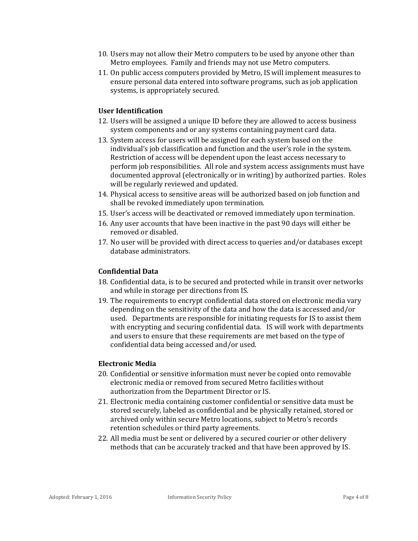- 10. Users may not allow their Metro computers to be used by anyone other than Metro employees. Family and friends may not use Metro computers.
- 11. On public access computers provided by Metro, IS will implement measures to ensure personal data entered into software programs, such as job application systems, is appropriately secured.

# **User Identification**

- 12. Users will be assigned a unique ID before they are allowed to access business system components and or any systems containing payment card data.
- 13. System access for users will be assigned for each system based on the individual's job classification and function and the user's role in the system. Restriction of access will be dependent upon the least access necessary to perform job responsibilities. All role and system access assignments must have documented approval (electronically or in writing) by authorized parties. Roles will be regularly reviewed and updated.
- 14. Physical access to sensitive areas will be authorized based on job function and shall be revoked immediately upon termination.
- 15. User's access will be deactivated or removed immediately upon termination.
- 16. Any user accounts that have been inactive in the past 90 days will either be removed or disabled.
- 17. No user will be provided with direct access to queries and/or databases except database administrators.

## **Confidential Data**

- 18. Confidential data, is to be secured and protected while in transit over networks and while in storage per directions from IS.
- 19. The requirements to encrypt confidential data stored on electronic media vary depending on the sensitivity of the data and how the data is accessed and/or used. Departments are responsible for initiating requests for IS to assist them with encrypting and securing confidential data. IS will work with departments and users to ensure that these requirements are met based on the type of confidential data being accessed and/or used.

## **Electronic Media**

- 20. Confidential or sensitive information must never be copied onto removable electronic media or removed from secured Metro facilities without authorization from the Department Director or IS.
- 21. Electronic media containing customer confidential or sensitive data must be stored securely, labeled as confidential and be physically retained, stored or archived only within secure Metro locations, subject to Metro's records retention schedules or third party agreements.
- 22. All media must be sent or delivered by a secured courier or other delivery methods that can be accurately tracked and that have been approved by IS.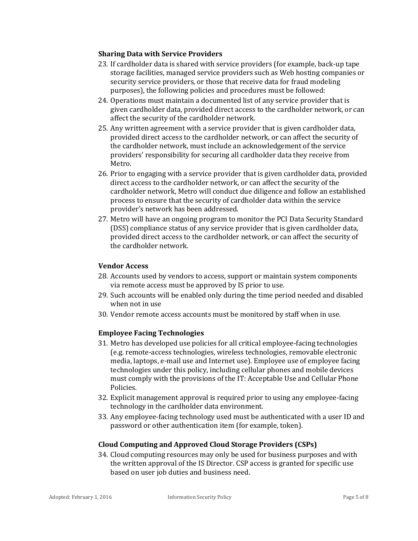## **Sharing Data with Service Providers**

- 23. If cardholder data is shared with service providers (for example, back-up tape storage facilities, managed service providers such as Web hosting companies or security service providers, or those that receive data for fraud modeling purposes), the following policies and procedures must be followed:
- 24. Operations must maintain a documented list of any service provider that is given cardholder data, provided direct access to the cardholder network, or can affect the security of the cardholder network.
- 25. Any written agreement with a service provider that is given cardholder data, provided direct access to the cardholder network, or can affect the security of the cardholder network, must include an acknowledgement of the service providers' responsibility for securing all cardholder data they receive from Metro.
- 26. Prior to engaging with a service provider that is given cardholder data, provided direct access to the cardholder network, or can affect the security of the cardholder network, Metro will conduct due diligence and follow an established process to ensure that the security of cardholder data within the service provider's network has been addressed.
- 27. Metro will have an ongoing program to monitor the PCI Data Security Standard (DSS) compliance status of any service provider that is given cardholder data, provided direct access to the cardholder network, or can affect the security of the cardholder network.

# **Vendor Access**

- 28. Accounts used by vendors to access, support or maintain system components via remote access must be approved by IS prior to use.
- 29. Such accounts will be enabled only during the time period needed and disabled when not in use
- 30. Vendor remote access accounts must be monitored by staff when in use.

# **Employee Facing Technologies**

- 31. Metro has developed use policies for all critical employee-facing technologies (e.g. remote-access technologies, wireless technologies, removable electronic media, laptops, e-mail use and Internet use). Employee use of employee facing technologies under this policy, including cellular phones and mobile devices must comply with the provisions of the IT: Acceptable Use and Cellular Phone Policies.
- 32. Explicit management approval is required prior to using any employee-facing technology in the cardholder data environment.
- 33. Any employee-facing technology used must be authenticated with a user ID and password or other authentication item (for example, token).

## **Cloud Computing and Approved Cloud Storage Providers (CSPs)**

34. Cloud computing resources may only be used for business purposes and with the written approval of the IS Director. CSP access is granted for specific use based on user job duties and business need.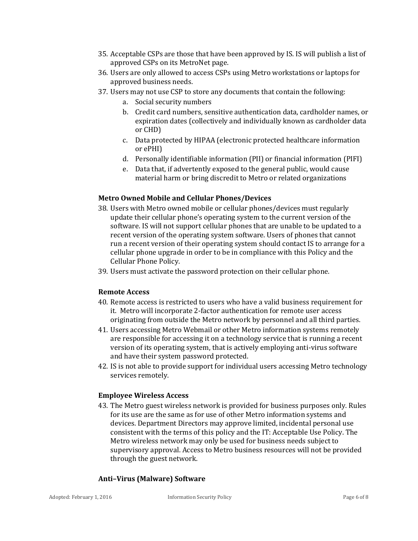- 35. Acceptable CSPs are those that have been approved by IS. IS will publish a list of approved CSPs on its MetroNet page.
- 36. Users are only allowed to access CSPs using Metro workstations or laptops for approved business needs.
- 37. Users may not use CSP to store any documents that contain the following:
	- a. Social security numbers
	- b. Credit card numbers, sensitive authentication data, cardholder names, or expiration dates (collectively and individually known as cardholder data or CHD)
	- c. Data protected by HIPAA (electronic protected healthcare information or ePHI)
	- d. Personally identifiable information (PII) or financial information (PIFI)
	- e. Data that, if advertently exposed to the general public, would cause material harm or bring discredit to Metro or related organizations

## **Metro Owned Mobile and Cellular Phones/Devices**

- 38. Users with Metro owned mobile or cellular phones/devices must regularly update their cellular phone's operating system to the current version of the software. IS will not support cellular phones that are unable to be updated to a recent version of the operating system software. Users of phones that cannot run a recent version of their operating system should contact IS to arrange for a cellular phone upgrade in order to be in compliance with this Policy and the Cellular Phone Policy.
- 39. Users must activate the password protection on their cellular phone.

## **Remote Access**

- 40. Remote access is restricted to users who have a valid business requirement for it. Metro will incorporate 2-factor authentication for remote user access originating from outside the Metro network by personnel and all third parties.
- 41. Users accessing Metro Webmail or other Metro information systems remotely are responsible for accessing it on a technology service that is running a recent version of its operating system, that is actively employing anti-virus software and have their system password protected.
- 42. IS is not able to provide support for individual users accessing Metro technology services remotely.

## **Employee Wireless Access**

43. The Metro guest wireless network is provided for business purposes only. Rules for its use are the same as for use of other Metro information systems and devices. Department Directors may approve limited, incidental personal use consistent with the terms of this policy and the IT: Acceptable Use Policy. The Metro wireless network may only be used for business needs subject to supervisory approval. Access to Metro business resources will not be provided through the guest network.

# **Anti–Virus (Malware) Software**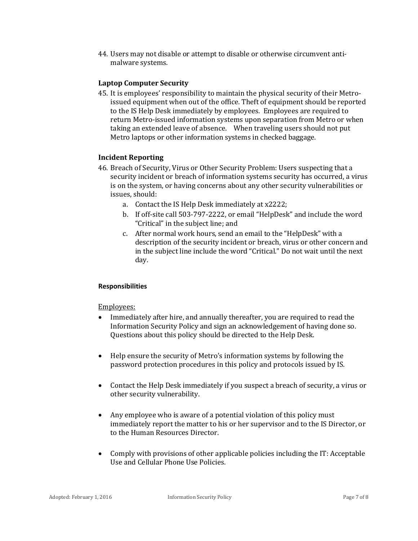44. Users may not disable or attempt to disable or otherwise circumvent antimalware systems.

## **Laptop Computer Security**

45. It is employees' responsibility to maintain the physical security of their Metroissued equipment when out of the office. Theft of equipment should be reported to the IS Help Desk immediately by employees. Employees are required to return Metro-issued information systems upon separation from Metro or when taking an extended leave of absence. When traveling users should not put Metro laptops or other information systems in checked baggage.

## **Incident Reporting**

- 46. Breach of Security, Virus or Other Security Problem: Users suspecting that a security incident or breach of information systems security has occurred, a virus is on the system, or having concerns about any other security vulnerabilities or issues, should:
	- a. Contact the IS Help Desk immediately at x2222;
	- b. If off-site call 503-797-2222, or email "HelpDesk" and include the word "Critical" in the subject line; and
	- c. After normal work hours, send an email to the "HelpDesk" with a description of the security incident or breach, virus or other concern and in the subject line include the word "Critical." Do not wait until the next day.

## **Responsibilities**

## Employees:

- Immediately after hire, and annually thereafter, you are required to read the Information Security Policy and sign an acknowledgement of having done so. Questions about this policy should be directed to the Help Desk.
- Help ensure the security of Metro's information systems by following the password protection procedures in this policy and protocols issued by IS.
- Contact the Help Desk immediately if you suspect a breach of security, a virus or other security vulnerability.
- Any employee who is aware of a potential violation of this policy must immediately report the matter to his or her supervisor and to the IS Director, or to the Human Resources Director.
- Comply with provisions of other applicable policies including the IT: Acceptable Use and Cellular Phone Use Policies.